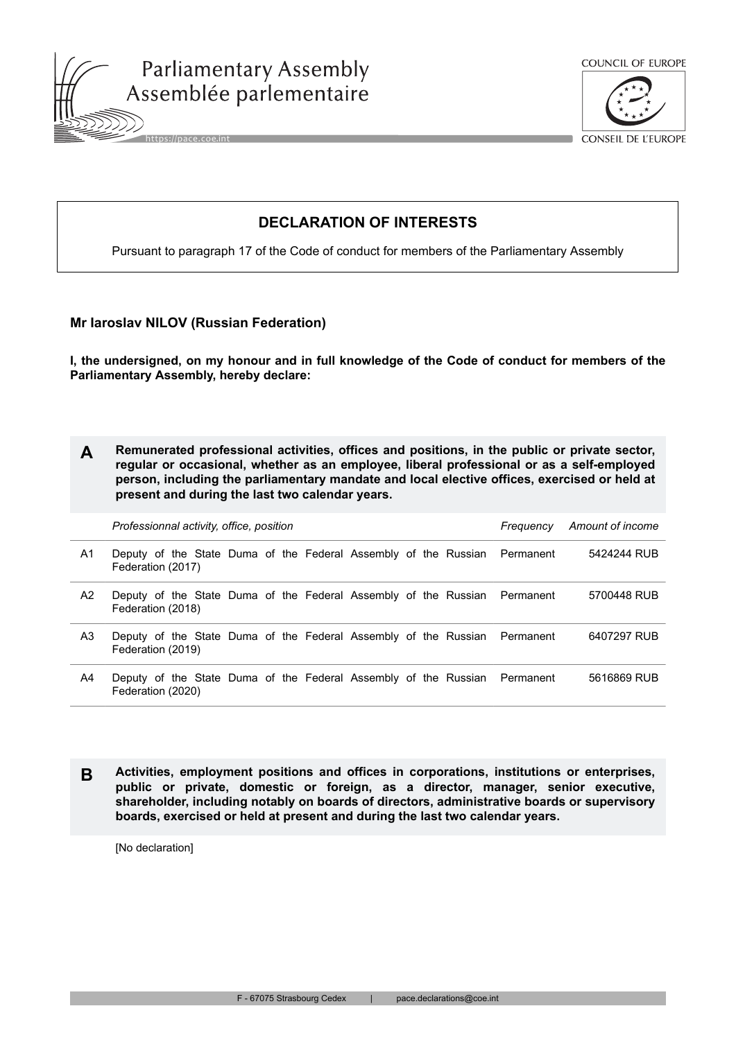





CONSEIL DE L'EUROPE

## **DECLARATION OF INTERESTS**

Pursuant to paragraph 17 of the Code of conduct for members of the Parliamentary Assembly

## **Mr Iaroslav NILOV (Russian Federation)**

**I, the undersigned, on my honour and in full knowledge of the Code of conduct for members of the Parliamentary Assembly, hereby declare:**

| Remunerated professional activities, offices and positions, in the public or private sector, |
|----------------------------------------------------------------------------------------------|
| regular or occasional, whether as an employee, liberal professional or as a self-employed    |
| person, including the parliamentary mandate and local elective offices, exercised or held at |
| present and during the last two calendar years.                                              |

|                | Professionnal activity, office, position                                                       | Frequency | Amount of income |  |             |
|----------------|------------------------------------------------------------------------------------------------|-----------|------------------|--|-------------|
| A1             | Deputy of the State Duma of the Federal Assembly of the Russian Permanent<br>Federation (2017) |           |                  |  | 5424244 RUB |
| A <sub>2</sub> | Deputy of the State Duma of the Federal Assembly of the Russian Permanent<br>Federation (2018) |           |                  |  | 5700448 RUB |
| A3             | Deputy of the State Duma of the Federal Assembly of the Russian Permanent<br>Federation (2019) |           |                  |  | 6407297 RUB |
| A4             | Deputy of the State Duma of the Federal Assembly of the Russian Permanent<br>Federation (2020) |           |                  |  | 5616869 RUB |

**B Activities, employment positions and offices in corporations, institutions or enterprises, public or private, domestic or foreign, as a director, manager, senior executive, shareholder, including notably on boards of directors, administrative boards or supervisory boards, exercised or held at present and during the last two calendar years.**

[No declaration]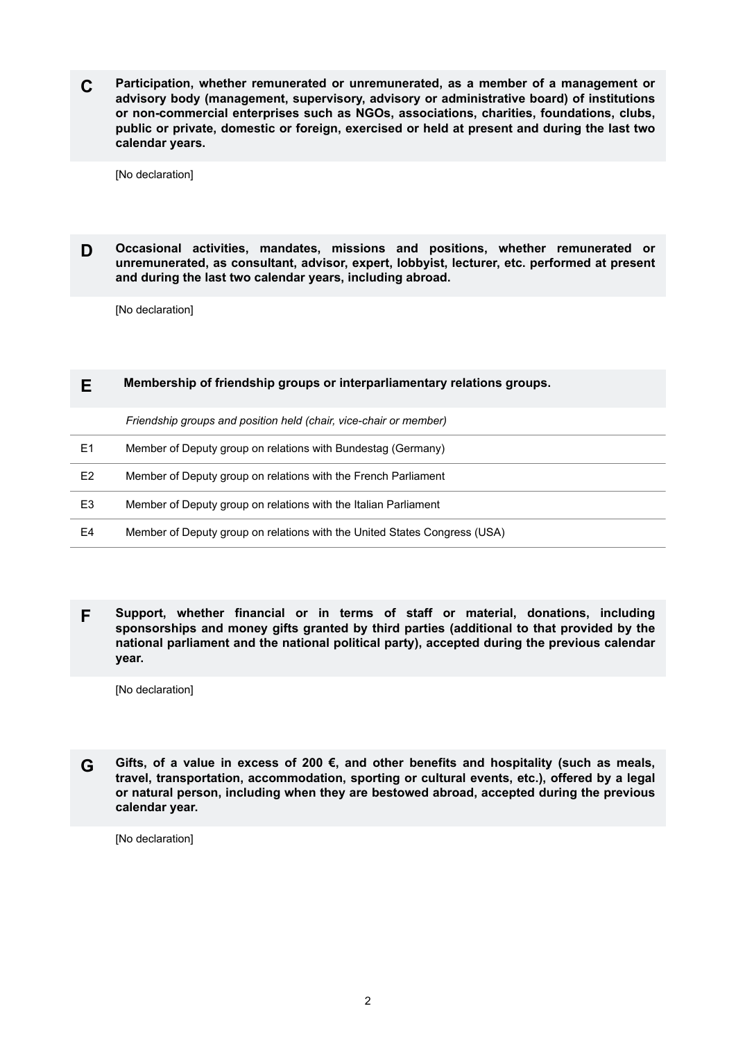**C Participation, whether remunerated or unremunerated, as a member of a management or advisory body (management, supervisory, advisory or administrative board) of institutions or non-commercial enterprises such as NGOs, associations, charities, foundations, clubs, public or private, domestic or foreign, exercised or held at present and during the last two calendar years.**

[No declaration]

**D Occasional activities, mandates, missions and positions, whether remunerated or unremunerated, as consultant, advisor, expert, lobbyist, lecturer, etc. performed at present and during the last two calendar years, including abroad.**

[No declaration]

## **E Membership of friendship groups or interparliamentary relations groups.**

*Friendship groups and position held (chair, vice-chair or member)*

| E1             | Member of Deputy group on relations with Bundestag (Germany)              |
|----------------|---------------------------------------------------------------------------|
| E <sub>2</sub> | Member of Deputy group on relations with the French Parliament            |
| E <sub>3</sub> | Member of Deputy group on relations with the Italian Parliament           |
| E4             | Member of Deputy group on relations with the United States Congress (USA) |

**F Support, whether financial or in terms of staff or material, donations, including sponsorships and money gifts granted by third parties (additional to that provided by the national parliament and the national political party), accepted during the previous calendar year.**

[No declaration]

**G Gifts, of a value in excess of 200 €, and other benefits and hospitality (such as meals, travel, transportation, accommodation, sporting or cultural events, etc.), offered by a legal or natural person, including when they are bestowed abroad, accepted during the previous calendar year.**

[No declaration]